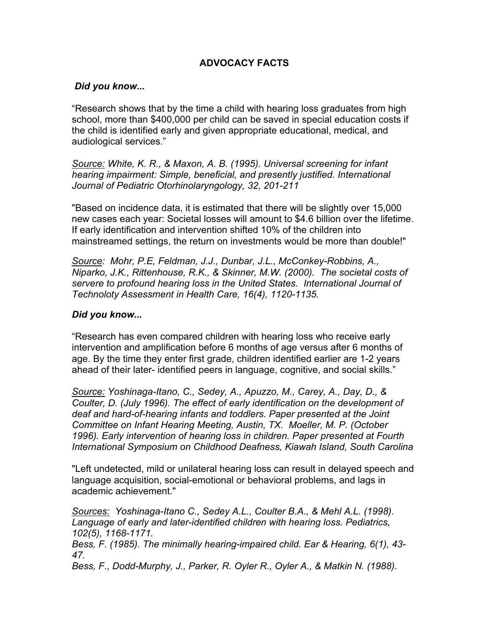# **ADVOCACY FACTS**

## *Did you know...*

"Research shows that by the time a child with hearing loss graduates from high school, more than \$400,000 per child can be saved in special education costs if the child is identified early and given appropriate educational, medical, and audiological services."

*Source: White, K. R., & Maxon, A. B. (1995). Universal screening for infant hearing impairment: Simple, beneficial, and presently justified. International Journal of Pediatric Otorhinolaryngology, 32, 201-211*

"Based on incidence data, it is estimated that there will be slightly over 15,000 new cases each year: Societal losses will amount to \$4.6 billion over the lifetime. If early identification and intervention shifted 10% of the children into mainstreamed settings, the return on investments would be more than double!"

*Source: Mohr, P.E, Feldman, J.J., Dunbar, J.L., McConkey-Robbins, A., Niparko, J.K., Rittenhouse, R.K., & Skinner, M.W. (2000). The societal costs of servere to profound hearing loss in the United States. International Journal of Technoloty Assessment in Health Care, 16(4), 1120-1135.*

## *Did you know...*

"Research has even compared children with hearing loss who receive early intervention and amplification before 6 months of age versus after 6 months of age. By the time they enter first grade, children identified earlier are 1-2 years ahead of their later- identified peers in language, cognitive, and social skills."

*Source: Yoshinaga-Itano, C., Sedey, A., Apuzzo, M., Carey, A., Day, D., & Coulter, D. (July 1996). The effect of early identification on the development of deaf and hard-of-hearing infants and toddlers. Paper presented at the Joint Committee on Infant Hearing Meeting, Austin, TX. Moeller, M. P. (October 1996). Early intervention of hearing loss in children. Paper presented at Fourth International Symposium on Childhood Deafness, Kiawah Island, South Carolina*

"Left undetected, mild or unilateral hearing loss can result in delayed speech and language acquisition, social-emotional or behavioral problems, and lags in academic achievement."

*Sources: Yoshinaga-Itano C., Sedey A.L., Coulter B.A., & Mehl A.L. (1998). Language of early and later-identified children with hearing loss. Pediatrics, 102(5), 1168-1171.* 

*Bess, F. (1985). The minimally hearing-impaired child. Ear & Hearing, 6(1), 43- 47.* 

*Bess, F., Dodd-Murphy, J., Parker, R. Oyler R., Oyler A., & Matkin N. (1988).*